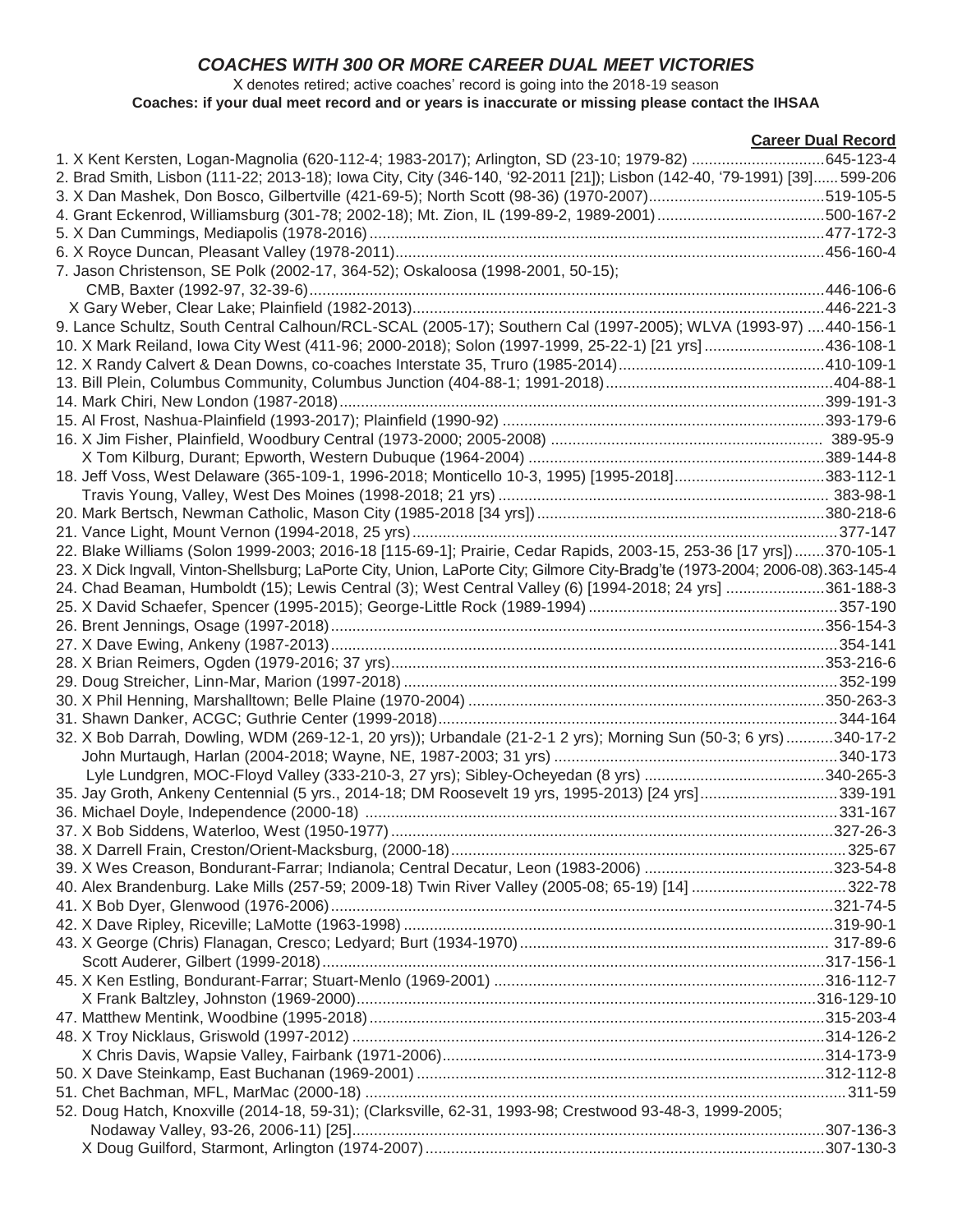# *COACHES WITH 300 OR MORE CAREER DUAL MEET VICTORIES*

#### X denotes retired; active coaches' record is going into the 2018-19 season **Coaches: if your dual meet record and or years is inaccurate or missing please contact the IHSAA**

|                                                                                                                                | <b>Career Dual Record</b> |
|--------------------------------------------------------------------------------------------------------------------------------|---------------------------|
|                                                                                                                                |                           |
| 2. Brad Smith, Lisbon (111-22; 2013-18); Iowa City, City (346-140, '92-2011 [21]); Lisbon (142-40, '79-1991) [39] 599-206      |                           |
|                                                                                                                                |                           |
|                                                                                                                                |                           |
|                                                                                                                                |                           |
|                                                                                                                                |                           |
| 7. Jason Christenson, SE Polk (2002-17, 364-52); Oskaloosa (1998-2001, 50-15);                                                 |                           |
|                                                                                                                                |                           |
|                                                                                                                                |                           |
| 9. Lance Schultz, South Central Calhoun/RCL-SCAL (2005-17); Southern Cal (1997-2005); WLVA (1993-97) 440-156-1                 |                           |
| 10. X Mark Reiland, Iowa City West (411-96; 2000-2018); Solon (1997-1999, 25-22-1) [21 yrs] 436-108-1                          |                           |
|                                                                                                                                |                           |
|                                                                                                                                |                           |
|                                                                                                                                |                           |
|                                                                                                                                |                           |
|                                                                                                                                |                           |
|                                                                                                                                |                           |
| 18. Jeff Voss, West Delaware (365-109-1, 1996-2018; Monticello 10-3, 1995) [1995-2018]383-112-1                                |                           |
|                                                                                                                                |                           |
|                                                                                                                                |                           |
|                                                                                                                                |                           |
| 22. Blake Williams (Solon 1999-2003; 2016-18 [115-69-1]; Prairie, Cedar Rapids, 2003-15, 253-36 [17 yrs])370-105-1             |                           |
| 23. X Dick Ingvall, Vinton-Shellsburg; LaPorte City, Union, LaPorte City; Gilmore City-Bradg'te (1973-2004; 2006-08).363-145-4 |                           |
| 24. Chad Beaman, Humboldt (15); Lewis Central (3); West Central Valley (6) [1994-2018; 24 yrs] 361-188-3                       |                           |
|                                                                                                                                |                           |
|                                                                                                                                |                           |
|                                                                                                                                |                           |
|                                                                                                                                |                           |
|                                                                                                                                |                           |
|                                                                                                                                |                           |
|                                                                                                                                |                           |
| 32. X Bob Darrah, Dowling, WDM (269-12-1, 20 yrs)); Urbandale (21-2-1 2 yrs); Morning Sun (50-3; 6 yrs)340-17-2                |                           |
|                                                                                                                                |                           |
|                                                                                                                                |                           |
| 35. Jay Groth, Ankeny Centennial (5 yrs., 2014-18; DM Roosevelt 19 yrs, 1995-2013) [24 yrs]339-191                             |                           |
|                                                                                                                                |                           |
|                                                                                                                                |                           |
|                                                                                                                                |                           |
|                                                                                                                                |                           |
|                                                                                                                                |                           |
|                                                                                                                                |                           |
|                                                                                                                                |                           |
|                                                                                                                                |                           |
|                                                                                                                                |                           |
|                                                                                                                                |                           |
|                                                                                                                                |                           |
|                                                                                                                                |                           |
|                                                                                                                                |                           |
|                                                                                                                                |                           |
|                                                                                                                                |                           |
|                                                                                                                                |                           |
| 52. Doug Hatch, Knoxville (2014-18, 59-31); (Clarksville, 62-31, 1993-98; Crestwood 93-48-3, 1999-2005;                        |                           |
|                                                                                                                                |                           |
|                                                                                                                                |                           |
|                                                                                                                                |                           |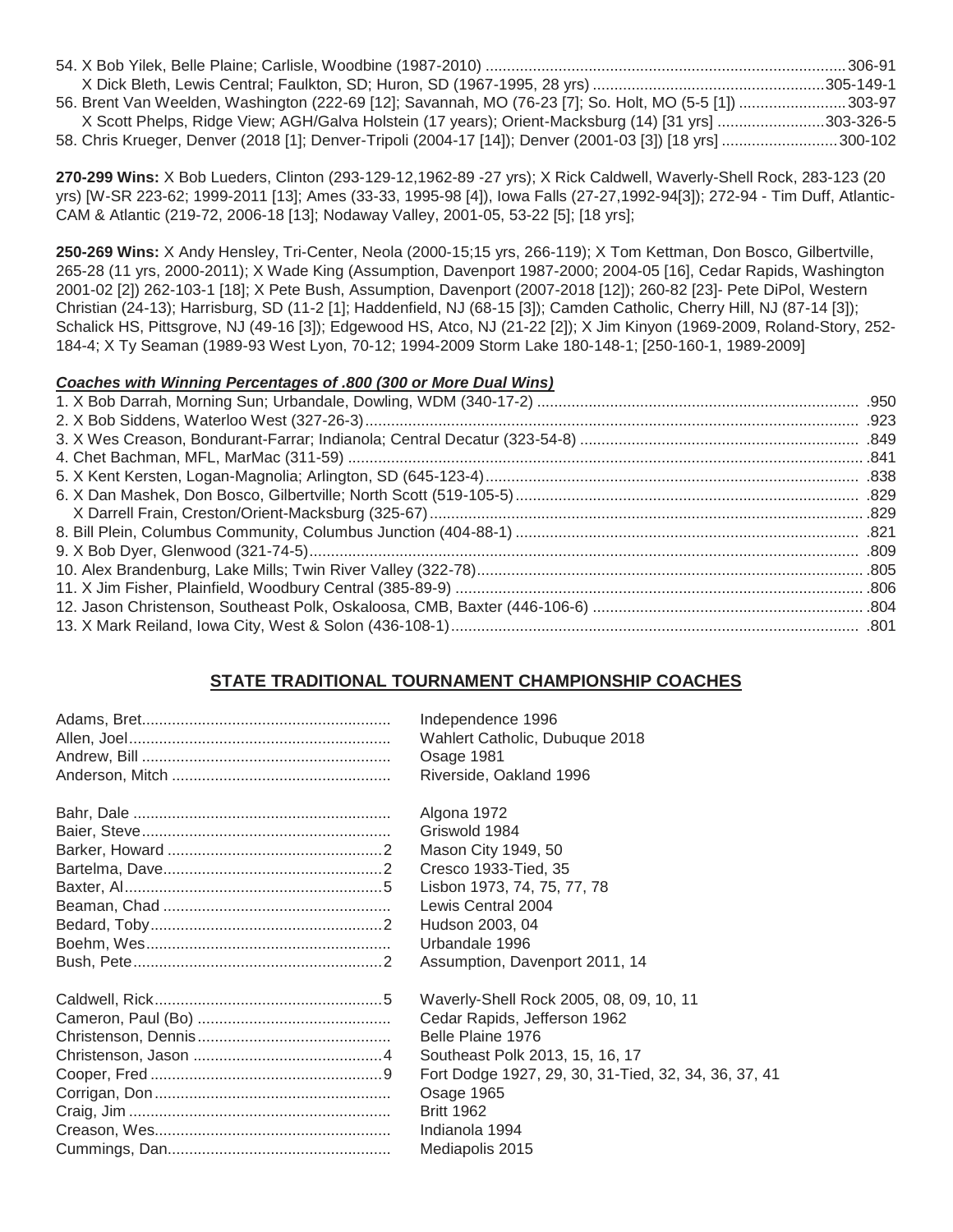| 56. Brent Van Weelden, Washington (222-69 [12]; Savannah, MO (76-23 [7]; So. Holt, MO (5-5 [1]) 303-97    |  |
|-----------------------------------------------------------------------------------------------------------|--|
| X Scott Phelps, Ridge View; AGH/Galva Holstein (17 years); Orient-Macksburg (14) [31 yrs] 303-326-5       |  |
| 58. Chris Krueger, Denver (2018 [1]; Denver-Tripoli (2004-17 [14]); Denver (2001-03 [3]) [18 yrs] 300-102 |  |

**270-299 Wins:** X Bob Lueders, Clinton (293-129-12,1962-89 -27 yrs); X Rick Caldwell, Waverly-Shell Rock, 283-123 (20 yrs) [W-SR 223-62; 1999-2011 [13]; Ames (33-33, 1995-98 [4]), Iowa Falls (27-27,1992-94[3]); 272-94 - Tim Duff, Atlantic-CAM & Atlantic (219-72, 2006-18 [13]; Nodaway Valley, 2001-05, 53-22 [5]; [18 yrs];

**250-269 Wins:** X Andy Hensley, Tri-Center, Neola (2000-15;15 yrs, 266-119); X Tom Kettman, Don Bosco, Gilbertville, 265-28 (11 yrs, 2000-2011); X Wade King (Assumption, Davenport 1987-2000; 2004-05 [16], Cedar Rapids, Washington 2001-02 [2]) 262-103-1 [18]; X Pete Bush, Assumption, Davenport (2007-2018 [12]); 260-82 [23]- Pete DiPol, Western Christian (24-13); Harrisburg, SD (11-2 [1]; Haddenfield, NJ (68-15 [3]); Camden Catholic, Cherry Hill, NJ (87-14 [3]); Schalick HS, Pittsgrove, NJ (49-16 [3]); Edgewood HS, Atco, NJ (21-22 [2]); X Jim Kinyon (1969-2009, Roland-Story, 252- 184-4; X Ty Seaman (1989-93 West Lyon, 70-12; 1994-2009 Storm Lake 180-148-1; [250-160-1, 1989-2009]

#### *Coaches with Winning Percentages of .800 (300 or More Dual Wins)*

### **STATE TRADITIONAL TOURNAMENT CHAMPIONSHIP COACHES**

| Independence 1996                                    |
|------------------------------------------------------|
| Wahlert Catholic, Dubuque 2018                       |
| Osage 1981                                           |
| Riverside, Oakland 1996                              |
| Algona 1972                                          |
| Griswold 1984                                        |
| Mason City 1949, 50                                  |
| Cresco 1933-Tied, 35                                 |
| Lisbon 1973, 74, 75, 77, 78                          |
| Lewis Central 2004                                   |
| Hudson 2003, 04                                      |
| Urbandale 1996                                       |
| Assumption, Davenport 2011, 14                       |
| Waverly-Shell Rock 2005, 08, 09, 10, 11              |
| Cedar Rapids, Jefferson 1962                         |
| Belle Plaine 1976                                    |
| Southeast Polk 2013, 15, 16, 17                      |
| Fort Dodge 1927, 29, 30, 31-Tied, 32, 34, 36, 37, 41 |
| Osage 1965                                           |
| <b>Britt 1962</b>                                    |
| Indianola 1994                                       |
| Mediapolis 2015                                      |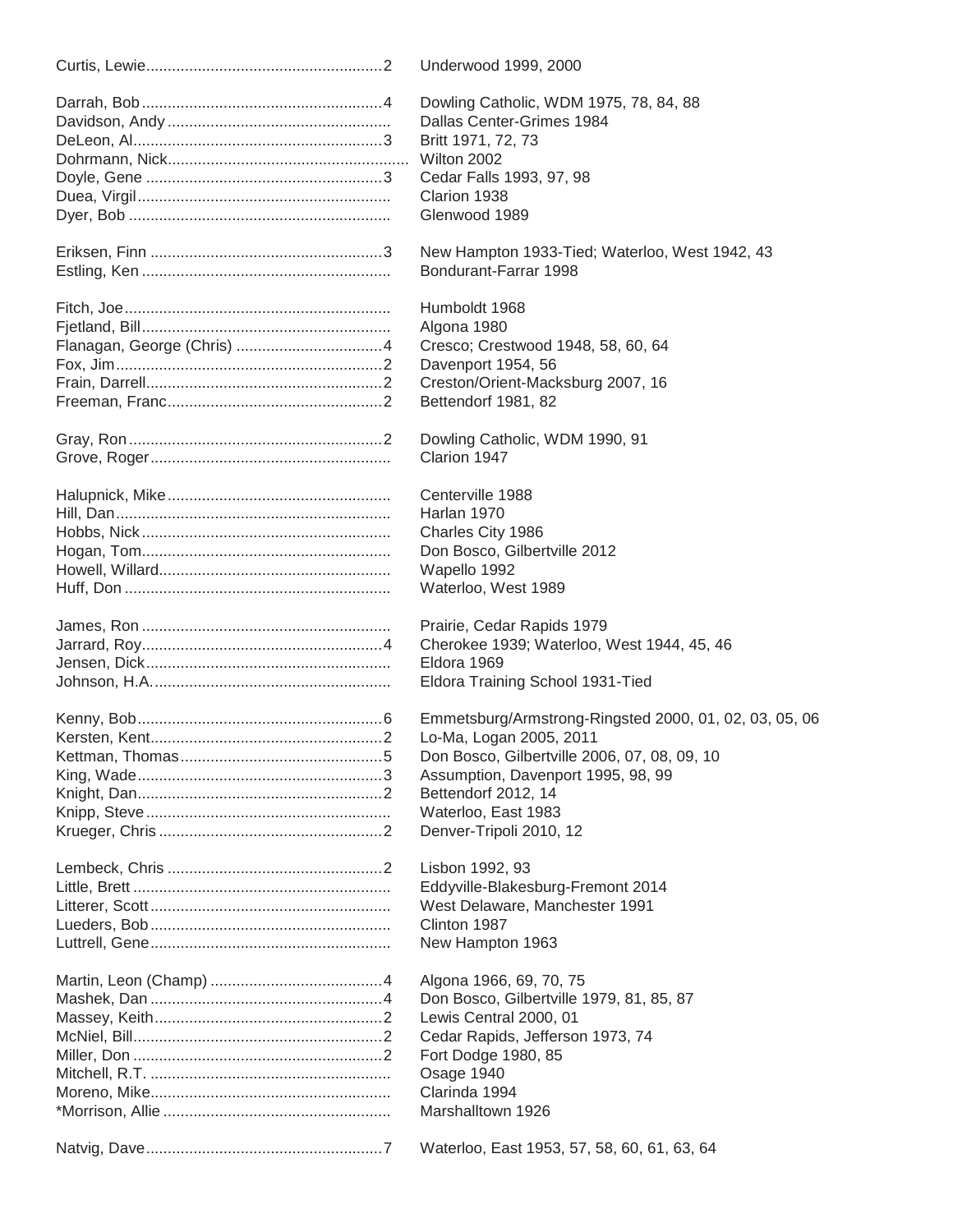| Underwood 1999, 2000                                   |
|--------------------------------------------------------|
| Dowling Catholic, WDM 1975, 78, 84, 88                 |
| Dallas Center-Grimes 1984                              |
| Britt 1971, 72, 73                                     |
| Wilton 2002                                            |
| Cedar Falls 1993, 97, 98                               |
| Clarion 1938                                           |
| Glenwood 1989                                          |
|                                                        |
| New Hampton 1933-Tied; Waterloo, West 1942, 43         |
| Bondurant-Farrar 1998                                  |
| Humboldt 1968                                          |
| Algona 1980                                            |
| Cresco; Crestwood 1948, 58, 60, 64                     |
| Davenport 1954, 56                                     |
| Creston/Orient-Macksburg 2007, 16                      |
| Bettendorf 1981, 82                                    |
|                                                        |
| Dowling Catholic, WDM 1990, 91                         |
| Clarion 1947                                           |
| Centerville 1988                                       |
| Harlan 1970                                            |
| Charles City 1986                                      |
| Don Bosco, Gilbertville 2012                           |
|                                                        |
| Wapello 1992                                           |
| Waterloo, West 1989                                    |
| Prairie, Cedar Rapids 1979                             |
| Cherokee 1939; Waterloo, West 1944, 45, 46             |
| Eldora 1969                                            |
| Eldora Training School 1931-Tied                       |
| Emmetsburg/Armstrong-Ringsted 2000, 01, 02, 03, 05, 06 |
|                                                        |
| Lo-Ma, Logan 2005, 2011                                |
| Don Bosco, Gilbertville 2006, 07, 08, 09, 10           |
| Assumption, Davenport 1995, 98, 99                     |
| Bettendorf 2012, 14                                    |
| Waterloo, East 1983                                    |
| Denver-Tripoli 2010, 12                                |
| Lisbon 1992, 93                                        |
| Eddyville-Blakesburg-Fremont 2014                      |
| West Delaware, Manchester 1991                         |
| Clinton 1987                                           |
| New Hampton 1963                                       |
|                                                        |
| Algona 1966, 69, 70, 75                                |
| Don Bosco, Gilbertville 1979, 81, 85, 87               |
| Lewis Central 2000, 01                                 |
| Cedar Rapids, Jefferson 1973, 74                       |
| Fort Dodge 1980, 85                                    |
| Osage 1940                                             |
| Clarinda 1994                                          |
| Marshalltown 1926                                      |
|                                                        |
| Waterloo, East 1953, 57, 58, 60, 61, 63, 64            |